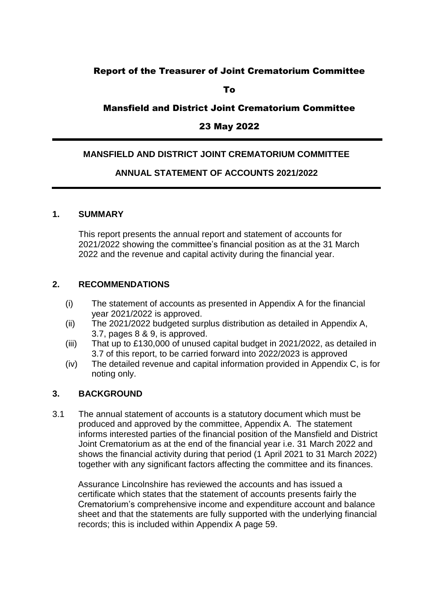# Report of the Treasurer of Joint Crematorium Committee

To

## Mansfield and District Joint Crematorium Committee

## 23 May 2022

### **MANSFIELD AND DISTRICT JOINT CREMATORIUM COMMITTEE**

### **ANNUAL STATEMENT OF ACCOUNTS 2021/2022**

#### **1. SUMMARY**

This report presents the annual report and statement of accounts for 2021/2022 showing the committee's financial position as at the 31 March 2022 and the revenue and capital activity during the financial year.

### **2. RECOMMENDATIONS**

- (i) The statement of accounts as presented in Appendix A for the financial year 2021/2022 is approved.
- (ii) The 2021/2022 budgeted surplus distribution as detailed in Appendix A, 3.7, pages 8 & 9, is approved.
- (iii) That up to £130,000 of unused capital budget in 2021/2022, as detailed in 3.7 of this report, to be carried forward into 2022/2023 is approved
- (iv) The detailed revenue and capital information provided in Appendix C, is for noting only.

### **3. BACKGROUND**

3.1 The annual statement of accounts is a statutory document which must be produced and approved by the committee, Appendix A. The statement informs interested parties of the financial position of the Mansfield and District Joint Crematorium as at the end of the financial year i.e. 31 March 2022 and shows the financial activity during that period (1 April 2021 to 31 March 2022) together with any significant factors affecting the committee and its finances.

Assurance Lincolnshire has reviewed the accounts and has issued a certificate which states that the statement of accounts presents fairly the Crematorium's comprehensive income and expenditure account and balance sheet and that the statements are fully supported with the underlying financial records; this is included within Appendix A page 59.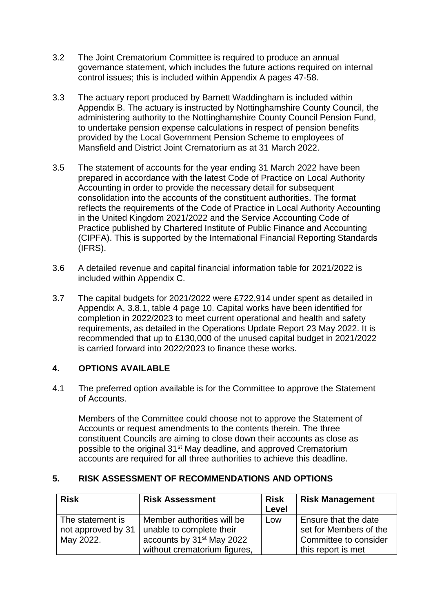- 3.2 The Joint Crematorium Committee is required to produce an annual governance statement, which includes the future actions required on internal control issues; this is included within Appendix A pages 47-58.
- 3.3 The actuary report produced by Barnett Waddingham is included within Appendix B. The actuary is instructed by Nottinghamshire County Council, the administering authority to the Nottinghamshire County Council Pension Fund, to undertake pension expense calculations in respect of pension benefits provided by the Local Government Pension Scheme to employees of Mansfield and District Joint Crematorium as at 31 March 2022.
- 3.5 The statement of accounts for the year ending 31 March 2022 have been prepared in accordance with the latest Code of Practice on Local Authority Accounting in order to provide the necessary detail for subsequent consolidation into the accounts of the constituent authorities. The format reflects the requirements of the Code of Practice in Local Authority Accounting in the United Kingdom 2021/2022 and the Service Accounting Code of Practice published by Chartered Institute of Public Finance and Accounting (CIPFA). This is supported by the International Financial Reporting Standards (IFRS).
- 3.6 A detailed revenue and capital financial information table for 2021/2022 is included within Appendix C.
- 3.7 The capital budgets for 2021/2022 were £722,914 under spent as detailed in Appendix A, 3.8.1, table 4 page 10. Capital works have been identified for completion in 2022/2023 to meet current operational and health and safety requirements, as detailed in the Operations Update Report 23 May 2022. It is recommended that up to £130,000 of the unused capital budget in 2021/2022 is carried forward into 2022/2023 to finance these works.

## **4. OPTIONS AVAILABLE**

4.1 The preferred option available is for the Committee to approve the Statement of Accounts.

Members of the Committee could choose not to approve the Statement of Accounts or request amendments to the contents therein. The three constituent Councils are aiming to close down their accounts as close as possible to the original 31<sup>st</sup> May deadline, and approved Crematorium accounts are required for all three authorities to achieve this deadline.

## **5. RISK ASSESSMENT OF RECOMMENDATIONS AND OPTIONS**

| <b>Risk</b>                                         | <b>Risk</b><br><b>Risk Assessment</b><br>Level                                                                                  |     | <b>Risk Management</b>                                                                        |
|-----------------------------------------------------|---------------------------------------------------------------------------------------------------------------------------------|-----|-----------------------------------------------------------------------------------------------|
| The statement is<br>not approved by 31<br>May 2022. | Member authorities will be<br>unable to complete their<br>accounts by 31 <sup>st</sup> May 2022<br>without crematorium figures, | Low | Ensure that the date<br>set for Members of the<br>Committee to consider<br>this report is met |